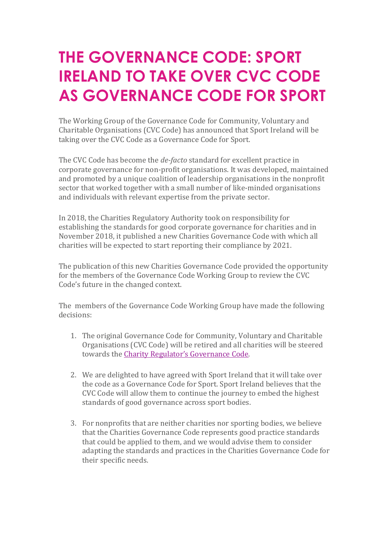## **THE GOVERNANCE CODE: SPORT IRELAND TO TAKE OVER CVC CODE AS GOVERNANCE CODE FOR SPORT**

The Working Group of the Governance Code for Community, Voluntary and Charitable Organisations (CVC Code) has announced that Sport Ireland will be taking over the CVC Code as a Governance Code for Sport.

The CVC Code has become the *de-facto* standard for excellent practice in corporate governance for non-profit organisations. It was developed, maintained and promoted by a unique coalition of leadership organisations in the nonprofit sector that worked together with a small number of like-minded organisations and individuals with relevant expertise from the private sector.

In 2018, the Charities Regulatory Authority took on responsibility for establishing the standards for good corporate governance for charities and in November 2018, it published a new Charities Governance Code with which all charities will be expected to start reporting their compliance by 2021.

The publication of this new Charities Governance Code provided the opportunity for the members of the Governance Code Working Group to review the CVC Code's future in the changed context.

The members of the Governance Code Working Group have made the following decisions:

- 1. The original Governance Code for Community, Voluntary and Charitable Organisations (CVC Code) will be retired and all charities will be steered towards the Charity Regulator's Governance Code.
- 2. We are delighted to have agreed with Sport Ireland that it will take over the code as a Governance Code for Sport. Sport Ireland believes that the CVC Code will allow them to continue the journey to embed the highest standards of good governance across sport bodies.
- 3. For nonprofits that are neither charities nor sporting bodies, we believe that the Charities Governance Code represents good practice standards that could be applied to them, and we would advise them to consider adapting the standards and practices in the Charities Governance Code for their specific needs.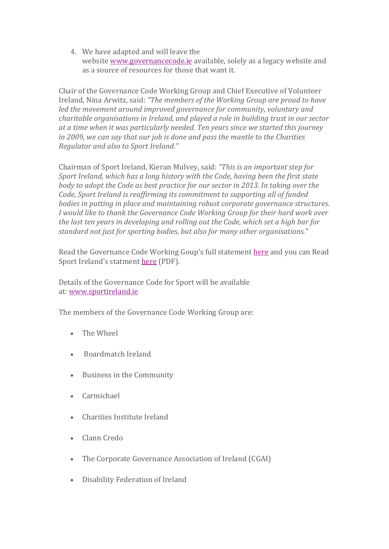4. We have adapted and will leave the website www.governancecode.ie available, solely as a legacy website and as a source of resources for those that want it.

Chair of the Governance Code Working Group and Chief Executive of Volunteer Ireland, Nina Arwitz, said: "The members of the Working Group are proud to have *led* the movement around improved governance for community, voluntary and *charitable organisations in Ireland, and played a role in building trust in our sector* at a time when it was particularly needed. Ten years since we started this journey *in* 2009, we can say that our job is done and pass the mantle to the Charities *Regulator and also to Sport Ireland."*

Chairman of Sport Ireland, Kieran Mulvey, said: "This is an important step for *Sport Ireland, which has a long history with the Code, having been the first state body* to adopt the Code as best practice for our sector in 2013. In taking over the *Code, Sport Ireland is reaffirming its commitment to supporting all of funded bodies in putting in place and maintaining robust corporate governance structures. I* would like to thank the Governance Code Working Group for their hard work over *the last ten years in developing and rolling out the Code, which set a high bar for* standard not just for sporting bodies, but also for many other organisations."

Read the Governance Code Working Goup's full statement here and you can Read Sport Ireland's statment here (PDF).

Details of the Governance Code for Sport will be available at: www.sportireland.ie

The members of the Governance Code Working Group are:

- $\bullet$  The Wheel
- Boardmatch Ireland
- Business in the Community
- Carmichael
- Charities Institute Ireland
- Clann Credo
- The Corporate Governance Association of Ireland (CGAI)
- Disability Federation of Ireland